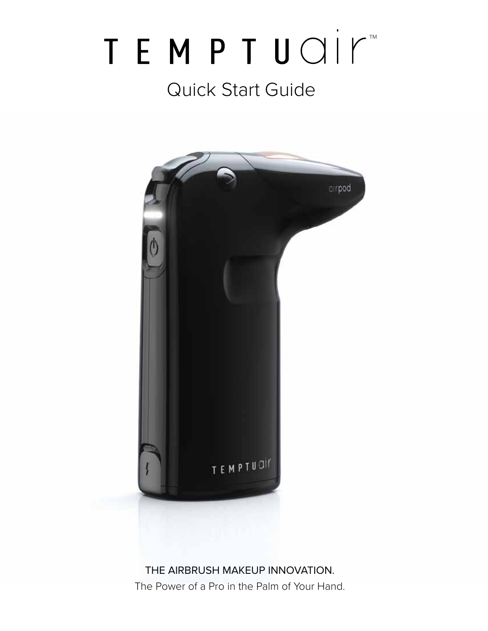# TEMPTUOIM Quick Start Guide



The Power of a Pro in the Palm of Your Hand.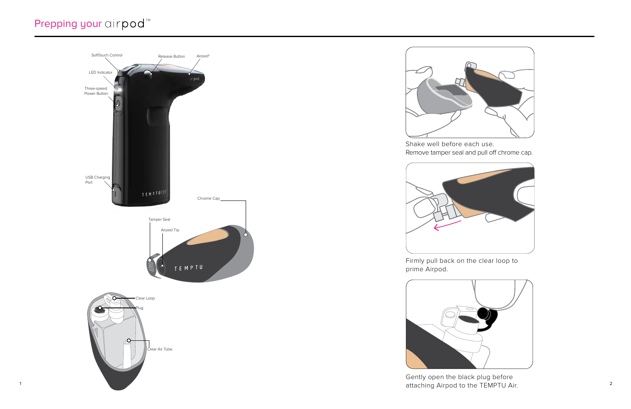Shake well before each use.



Remove tamper seal and pull off chrome cap.

Firmly pull back on the clear loop to prime Airpod.



Gently open the black plug before

# Prepping your airpod<sup>™</sup>



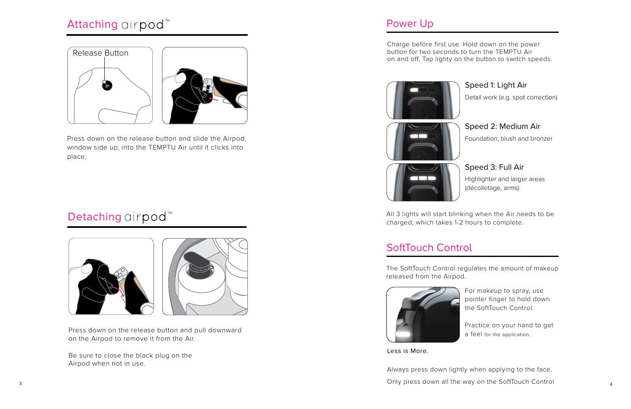### Power Up

Charge before first use. Hold down on the power button for two seconds to turn the TEMPTU Air on and off. Tap lighty on the button to switch speeds.

### Speed 1: Light Air

### Speed 2: Medium Air

### Speed 3: Full Air

Detail work (e.g. spot correction)

Foundation, blush and bronzer

3 4 Only press down all the way on the SoftTouch Control Always press down lightly when applying to the face.

Highlighter and larger areas (décolletage, arms)

## SoftTouch Control

- For makeup to spray, use pointer finger to hold down the SoftTouch Control.
- Practice on your hand to get a feel for the application.



Less is More.

All 3 lights will start blinking when the Air needs to be



charged, which takes 1-2 hours to complete.

The SoftTouch Control regulates the amount of makeup released from the Airpod.

Press down on the release button and slide the Airpod, window side up, into the TEMPTU Air until it clicks into place.

# Detaching airpod<sup>™</sup>



Press down on the release button and pull downward on the Airpod to remove it from the Air.

Be sure to close the black plug on the Airpod when not in use.

# Attaching airpod<sup>™</sup>



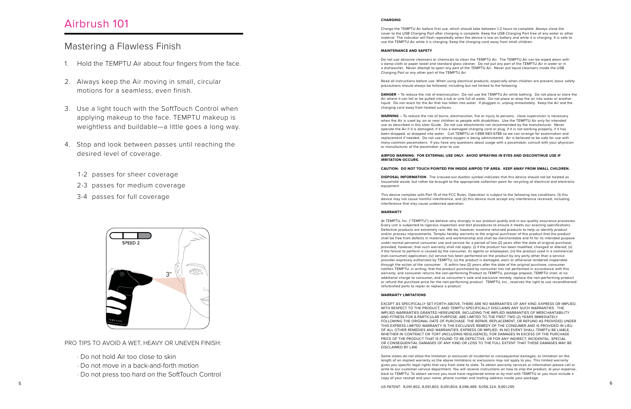#### **CHARGING**

Charge the TEMPTU Air before first use, which should take between 1-2 hours to complete. Always close the cover to the USB Charging Port after charging is complete. Keep the USB Charging Port free of any water or other material. The indicator will flash repeatedly when the device is low on battery and while it is charging. It is safe to use the TEMPTU Air while it is charging. Keep the charging cord away from small children.

#### **MAINTENANCE AND SAFETY**

Do not use abrasive cleansers or chemicals to clean the TEMPTU Air. The TEMPTU Air can be wiped down with a damp cloth or paper towel and standard glass cleaner. Do not put any part of the TEMPTU Air in water or in a dishwasher. Never attempt to open any part of the TEMPTU Air. Never put liquid cleansers inside the USB Charging Port or any other part of the TEMPTU Air.

Read all instructions before use. When using electrical products, especially when children are present, basic safety precautions should always be followed, including but not limited to the following:

**DANGER** – To reduce the risk of electrocution: Do not use the TEMPTU Air while bathing. Do not place or store the Air where it can fall or be pulled into a tub or sink full of water. Do not place or drop the air into water or another liquid. Do not reach for the Air that has fallen into water. If plugged in, unplug immediately. Keep the Air and the charging cord away from heated surfaces.

**WARNING** – To reduce the risk of burns, electrocution, fire or injury to persons: close supervision is necessary when the Air is used by, on or near children or people with disabilities. Use the TEMPTU Air only for intended use as described in this User Guide. Do not use attachments not recommended by the manufacturer. Never operate the Air if it is damaged, if it has a damaged charging cord or plug, if it is not working properly, if it has been dropped, or dropped into water. Call TEMPTU at 1-888-983-6788 so we can arrange for examination and replacement if needed. Do not use where oxygen is being administered. Air is believed to be safe for use with many common pacemakers. If you have any questions about usage with a pacemaker, consult with your physician or manufacturer of the pacemaker prior to use.

#### **AIRPOD WARNING: FOR EXTERNAL USE ONLY. AVOID SPRAYING IN EYES AND DISCONTINUE USE IF IRRITATION OCCURS.**

#### **CAUTION: DO NOT TOUCH POINTED PIN INSIDE AIRPOD TIP AREA. KEEP AWAY FROM SMALL CHILDREN.**

**DISPOSAL INFORMATION**: The crossed-out dustbin symbol indicates that this device should not be treated as household waste, but rather be brought to the appropriate collection point for recycling of electrical and electronic equipment.

This device complies with Part 15 of the FCC Rules. Operation is subject to the following two conditions: (1) this device may not cause harmful interference, and (2) this device must accept any interference received, including interference that may cause undesired operation.

#### **WARRANTY**

At TEMPTU, Inc. ("TEMPTU") we believe very strongly in our product quality and in our quality assurance processes. Every unit is subjected to rigorous inspection and test procedures to ensure it meets our exacting specifications. Defective products are extremely rare. We do, however, examine returned products to help us identify product and/or process improvements. Temptu hereby warrants to the original purchaser of this product that the product shall be free from defects in materials and workmanship and shall be merchantable and fit for its intended purpose under normal personal consumer use and service for a period of two (2) years after the date of original purchase; provided, however, that such warranty shall not apply: (i) if the product has been modified, changed or altered; (ii) if the failure to perform is caused by the consumer, its agents or employees; (iii) the product used in a commercial (non-consumer) application; (iv) service has been performed on the product by any party other than a service provider expressly authorized by TEMPTU, (v) the product is damaged, worn or otherwise rendered inoperable through the action of the consumer . If, within two (2) years after the date of the original purchase, consumer notifies TEMPTU, in writing, that the product purchased by consumer has not performed in accordance with this warranty, and consumer returns the non-performing Product to TEMPTU, postage prepaid, TEMPTU shall, at no additional charge to consumer, and as consumer's sole and exclusive remedy, replace the non-performing product or refund the purchase price for the non-performing product. TEMPTU, Inc., reserves the right to use reconditioned/ refurbished parts to repair or replace a product.

### **WARRANTY LIMITATIONS**

EXCEPT AS SPECIFICALLY SET FORTH ABOVE, THERE ARE NO WARRANTIES OF ANY KIND, EXPRESS OR IMPLIED, WITH RESPECT TO THE PRODUCT, AND TEMPTU SPECIFICALLY DISCLAIMS ANY SUCH WARRANTIES. THE IMPLIED WARRANTIES GRANTED HEREUNDER, INCLUDING THE IMPLIED WARRANTIES OF MERCHANTABILITY AND FITNESS FOR A PARTICULAR PURPOSE, ARE LIMITED TO THE FIRST TWO (2) YEARS IMMEDIATELY FOLLOWING THE ORIGINAL DATE OF PURCHASE. THE REPAIR, REPLACEMENT, OR REFUND AS PROVIDED UNDER THIS EXPRESS LIMITED WARRANTY IS THE EXCLUSIVE REMEDY OF THE CONSUMER AND IS PROVIDED IN LIEU OF ALL OTHER REMEDIES AND WARRANTIES, EXPRESS OR IMPLIED. IN NO EVENT SHALL TEMPTU BE LIABLE, WHETHER IN CONTRACT OR TORT (INCLUDING NEGLIGENCE), FOR DAMAGES IN EXCESS OF THE PURCHASE PRICE OF THE PRODUCT THAT IS FOUND TO BE DEFECTIVE, OR FOR ANY INDIRECT, INCIDENTAL, SPECIAL OR CONSEQUENTIAL DAMAGES OF ANY KIND OR LOSS TO THE FULL EXTENT THAT THESE DAMAGES MAY BE DISCLAIMED BY LAW.

Some states do not allow the limitation or exclusion of incidental or consequential damages, or limitation on the length of an implied warranty so the above limitations or exclusions may not apply to you. This limited warranty gives you specific legal rights that vary from state to state. To obtain warranty services or information please call or write to our customer service department. You will receive instructions on how to ship the product, at your expense, back to TEMPTU. To obtain service you must have registered online or by mail with TEMPTU or you must include a copy of your receipt and your name, phone number and mailing address inside your package.

US PATENT: 8,091,802; 8,091,803; 8,091,804; 8,096,489; 9,056,324; 9,061,295

### Mastering a Flawless Finish

### Airbrush 101

- 1. Hold the TEMPTU Air about four fingers from the face.
- 2. Always keep the Air moving in small, circular motions for a seamless, even finish.
- 3. Use a light touch with the SoftTouch Control when applying makeup to the face. TEMPTU makeup is weightless and buildable—a little goes a long way.
- 4. Stop and look between passes until reaching the desired level of coverage.
	- 1-2 passes for sheer coverage
	- 2-3 passes for medium coverage
	- 3-4 passes for full coverage



PRO TIPS TO AVOID A WET, HEAVY OR UNEVEN FINISH:

- · Do not hold Air too close to skin
- · Do not move in a back-and-forth motion
- · Do not press too hard on the SoftTouch Control